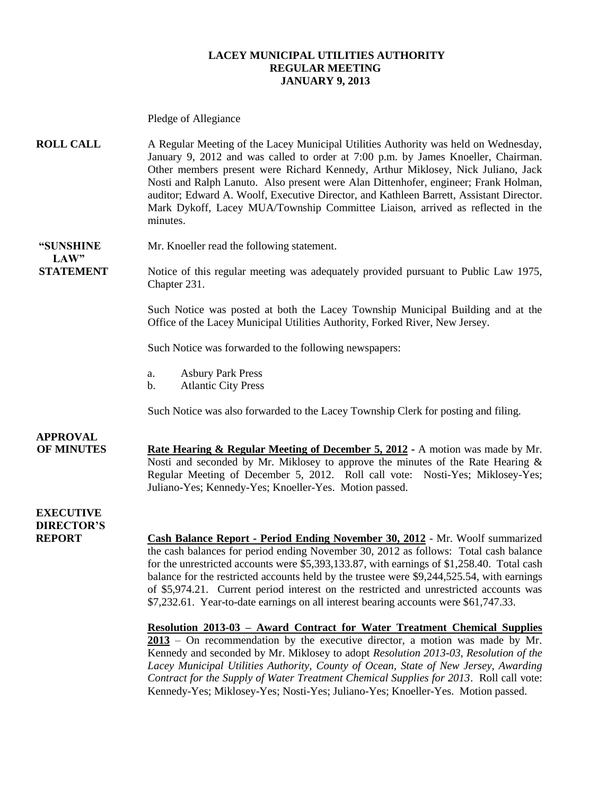#### **LACEY MUNICIPAL UTILITIES AUTHORITY REGULAR MEETING JANUARY 9, 2013**

|                                                        | Pledge of Allegiance                                                                                                                                                                                                                                                                                                                                                                                                                                                                                                                                                                                                                                                                                                                                                                                                                                                                                                                                                                                                                                                                |
|--------------------------------------------------------|-------------------------------------------------------------------------------------------------------------------------------------------------------------------------------------------------------------------------------------------------------------------------------------------------------------------------------------------------------------------------------------------------------------------------------------------------------------------------------------------------------------------------------------------------------------------------------------------------------------------------------------------------------------------------------------------------------------------------------------------------------------------------------------------------------------------------------------------------------------------------------------------------------------------------------------------------------------------------------------------------------------------------------------------------------------------------------------|
| <b>ROLL CALL</b>                                       | A Regular Meeting of the Lacey Municipal Utilities Authority was held on Wednesday,<br>January 9, 2012 and was called to order at 7:00 p.m. by James Knoeller, Chairman.<br>Other members present were Richard Kennedy, Arthur Miklosey, Nick Juliano, Jack<br>Nosti and Ralph Lanuto. Also present were Alan Dittenhofer, engineer; Frank Holman,<br>auditor; Edward A. Woolf, Executive Director, and Kathleen Barrett, Assistant Director.<br>Mark Dykoff, Lacey MUA/Township Committee Liaison, arrived as reflected in the<br>minutes.                                                                                                                                                                                                                                                                                                                                                                                                                                                                                                                                         |
| "SUNSHINE<br>LAW"                                      | Mr. Knoeller read the following statement.                                                                                                                                                                                                                                                                                                                                                                                                                                                                                                                                                                                                                                                                                                                                                                                                                                                                                                                                                                                                                                          |
| <b>STATEMENT</b>                                       | Notice of this regular meeting was adequately provided pursuant to Public Law 1975,<br>Chapter 231.                                                                                                                                                                                                                                                                                                                                                                                                                                                                                                                                                                                                                                                                                                                                                                                                                                                                                                                                                                                 |
|                                                        | Such Notice was posted at both the Lacey Township Municipal Building and at the<br>Office of the Lacey Municipal Utilities Authority, Forked River, New Jersey.                                                                                                                                                                                                                                                                                                                                                                                                                                                                                                                                                                                                                                                                                                                                                                                                                                                                                                                     |
|                                                        | Such Notice was forwarded to the following newspapers:                                                                                                                                                                                                                                                                                                                                                                                                                                                                                                                                                                                                                                                                                                                                                                                                                                                                                                                                                                                                                              |
|                                                        | <b>Asbury Park Press</b><br>a.<br><b>Atlantic City Press</b><br>b.                                                                                                                                                                                                                                                                                                                                                                                                                                                                                                                                                                                                                                                                                                                                                                                                                                                                                                                                                                                                                  |
|                                                        | Such Notice was also forwarded to the Lacey Township Clerk for posting and filing.                                                                                                                                                                                                                                                                                                                                                                                                                                                                                                                                                                                                                                                                                                                                                                                                                                                                                                                                                                                                  |
| <b>APPROVAL</b><br><b>OF MINUTES</b>                   | <b>Rate Hearing &amp; Regular Meeting of December 5, 2012 - A motion was made by Mr.</b><br>Nosti and seconded by Mr. Miklosey to approve the minutes of the Rate Hearing $\&$<br>Regular Meeting of December 5, 2012. Roll call vote: Nosti-Yes; Miklosey-Yes;<br>Juliano-Yes; Kennedy-Yes; Knoeller-Yes. Motion passed.                                                                                                                                                                                                                                                                                                                                                                                                                                                                                                                                                                                                                                                                                                                                                           |
| <b>EXECUTIVE</b><br><b>DIRECTOR'S</b><br><b>REPORT</b> | <b>Cash Balance Report - Period Ending November 30, 2012 - Mr. Woolf summarized</b><br>the cash balances for period ending November 30, 2012 as follows: Total cash balance<br>for the unrestricted accounts were \$5,393,133.87, with earnings of \$1,258.40. Total cash<br>balance for the restricted accounts held by the trustee were \$9,244,525.54, with earnings<br>of \$5,974.21. Current period interest on the restricted and unrestricted accounts was<br>\$7,232.61. Year-to-date earnings on all interest bearing accounts were \$61,747.33.<br>Resolution 2013-03 - Award Contract for Water Treatment Chemical Supplies<br>$2013$ – On recommendation by the executive director, a motion was made by Mr.<br>Kennedy and seconded by Mr. Miklosey to adopt Resolution 2013-03, Resolution of the<br>Lacey Municipal Utilities Authority, County of Ocean, State of New Jersey, Awarding<br>Contract for the Supply of Water Treatment Chemical Supplies for 2013. Roll call vote:<br>Kennedy-Yes; Miklosey-Yes; Nosti-Yes; Juliano-Yes; Knoeller-Yes. Motion passed. |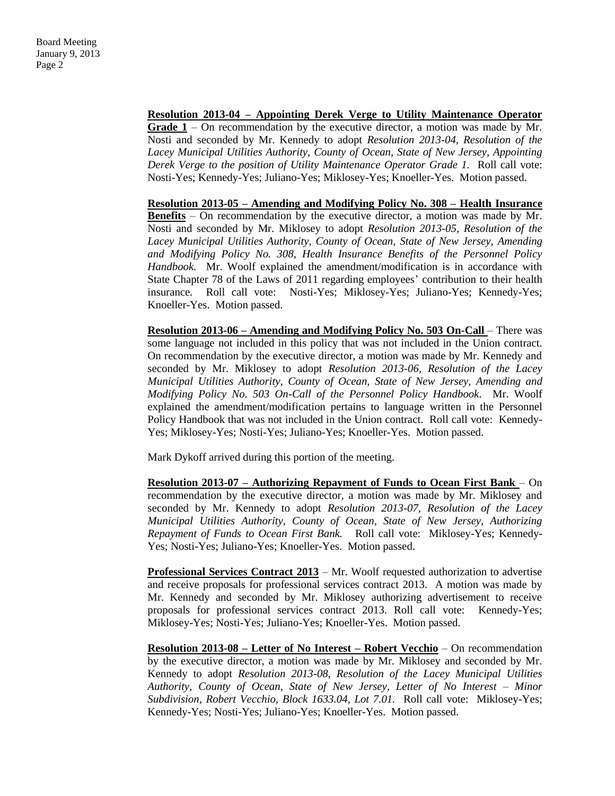**Resolution 2013-04 – Appointing Derek Verge to Utility Maintenance Operator Grade 1** – On recommendation by the executive director, a motion was made by Mr. Nosti and seconded by Mr. Kennedy to adopt *Resolution 2013-04, Resolution of the Lacey Municipal Utilities Authority, County of Ocean, State of New Jersey, Appointing Derek Verge to the position of Utility Maintenance Operator Grade 1. Roll call vote:* Nosti-Yes; Kennedy-Yes; Juliano-Yes; Miklosey-Yes; Knoeller-Yes. Motion passed.

**Resolution 2013-05 – Amending and Modifying Policy No. 308 – Health Insurance Benefits** – On recommendation by the executive director, a motion was made by Mr. Nosti and seconded by Mr. Miklosey to adopt *Resolution 2013-05, Resolution of the Lacey Municipal Utilities Authority, County of Ocean, State of New Jersey, Amending and Modifying Policy No. 308, Health Insurance Benefits of the Personnel Policy Handbook.* Mr. Woolf explained the amendment/modification is in accordance with State Chapter 78 of the Laws of 2011 regarding employees' contribution to their health insurance*.* Roll call vote: Nosti-Yes; Miklosey-Yes; Juliano-Yes; Kennedy-Yes; Knoeller-Yes. Motion passed.

**Resolution 2013-06 – Amending and Modifying Policy No. 503 On-Call** – There was some language not included in this policy that was not included in the Union contract. On recommendation by the executive director, a motion was made by Mr. Kennedy and seconded by Mr. Miklosey to adopt *Resolution 2013-06, Resolution of the Lacey Municipal Utilities Authority, County of Ocean, State of New Jersey, Amending and Modifying Policy No. 503 On-Call of the Personnel Policy Handbook.* Mr. Woolf explained the amendment/modification pertains to language written in the Personnel Policy Handbook that was not included in the Union contract. Roll call vote: Kennedy-Yes; Miklosey-Yes; Nosti-Yes; Juliano-Yes; Knoeller-Yes. Motion passed.

Mark Dykoff arrived during this portion of the meeting.

**Resolution 2013-07 – Authorizing Repayment of Funds to Ocean First Bank** – On recommendation by the executive director, a motion was made by Mr. Miklosey and seconded by Mr. Kennedy to adopt *Resolution 2013-07, Resolution of the Lacey Municipal Utilities Authority, County of Ocean, State of New Jersey, Authorizing Repayment of Funds to Ocean First Bank.* Roll call vote: Miklosey-Yes; Kennedy-Yes; Nosti-Yes; Juliano-Yes; Knoeller-Yes. Motion passed.

**Professional Services Contract 2013** – Mr. Woolf requested authorization to advertise and receive proposals for professional services contract 2013. A motion was made by Mr. Kennedy and seconded by Mr. Miklosey authorizing advertisement to receive proposals for professional services contract 2013. Roll call vote: Kennedy-Yes; Miklosey-Yes; Nosti-Yes; Juliano-Yes; Knoeller-Yes. Motion passed.

**Resolution 2013-08 – Letter of No Interest – Robert Vecchio** – On recommendation by the executive director, a motion was made by Mr. Miklosey and seconded by Mr. Kennedy to adopt *Resolution 2013-08, Resolution of the Lacey Municipal Utilities Authority, County of Ocean, State of New Jersey, Letter of No Interest – Minor Subdivision, Robert Vecchio, Block 1633.04, Lot 7.01.* Roll call vote: Miklosey-Yes; Kennedy-Yes; Nosti-Yes; Juliano-Yes; Knoeller-Yes. Motion passed.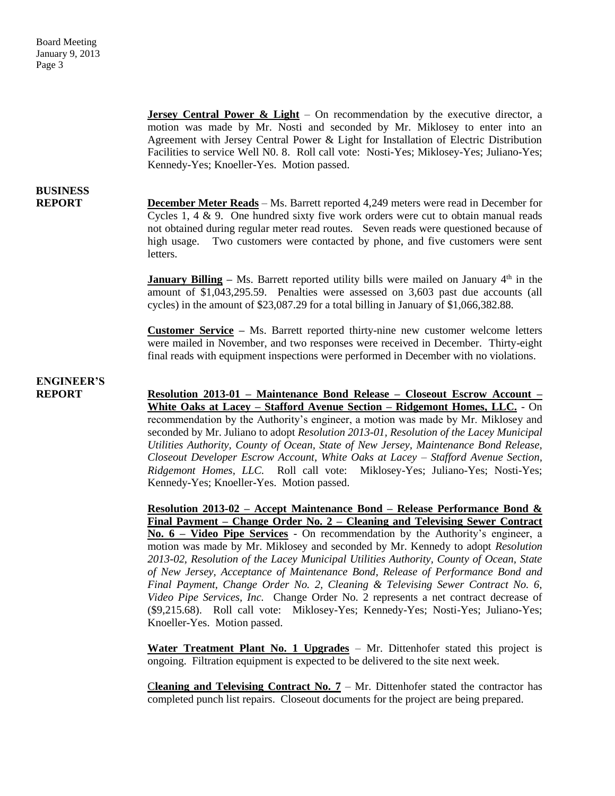**Jersey Central Power & Light** – On recommendation by the executive director, a motion was made by Mr. Nosti and seconded by Mr. Miklosey to enter into an Agreement with Jersey Central Power & Light for Installation of Electric Distribution Facilities to service Well N0. 8. Roll call vote: Nosti-Yes; Miklosey-Yes; Juliano-Yes; Kennedy-Yes; Knoeller-Yes. Motion passed.

## **BUSINESS**

**REPORT December Meter Reads** – Ms. Barrett reported 4,249 meters were read in December for Cycles 1, 4 & 9. One hundred sixty five work orders were cut to obtain manual reads not obtained during regular meter read routes. Seven reads were questioned because of high usage. Two customers were contacted by phone, and five customers were sent letters.

> **January Billing** – Ms. Barrett reported utility bills were mailed on January  $4<sup>th</sup>$  in the amount of \$1,043,295.59. Penalties were assessed on 3,603 past due accounts (all cycles) in the amount of \$23,087.29 for a total billing in January of \$1,066,382.88.

> **Customer Service –** Ms. Barrett reported thirty-nine new customer welcome letters were mailed in November, and two responses were received in December. Thirty-eight final reads with equipment inspections were performed in December with no violations.

### **ENGINEER'S**

**REPORT Resolution 2013-01 – Maintenance Bond Release – Closeout Escrow Account – White Oaks at Lacey – Stafford Avenue Section – Ridgemont Homes, LLC.** - On recommendation by the Authority's engineer, a motion was made by Mr. Miklosey and seconded by Mr. Juliano to adopt *Resolution 2013-01, Resolution of the Lacey Municipal Utilities Authority, County of Ocean, State of New Jersey, Maintenance Bond Release, Closeout Developer Escrow Account, White Oaks at Lacey – Stafford Avenue Section, Ridgemont Homes, LLC.* Roll call vote: Miklosey-Yes; Juliano-Yes; Nosti-Yes; Kennedy-Yes; Knoeller-Yes. Motion passed.

> **Resolution 2013-02 – Accept Maintenance Bond – Release Performance Bond & Final Payment – Change Order No. 2 – Cleaning and Televising Sewer Contract No. 6 – Video Pipe Services** - On recommendation by the Authority's engineer, a motion was made by Mr. Miklosey and seconded by Mr. Kennedy to adopt *Resolution 2013-02, Resolution of the Lacey Municipal Utilities Authority, County of Ocean, State of New Jersey, Acceptance of Maintenance Bond, Release of Performance Bond and Final Payment, Change Order No. 2, Cleaning & Televising Sewer Contract No. 6, Video Pipe Services, Inc.* Change Order No. 2 represents a net contract decrease of (\$9,215.68). Roll call vote: Miklosey-Yes; Kennedy-Yes; Nosti-Yes; Juliano-Yes; Knoeller-Yes. Motion passed.

> **Water Treatment Plant No. 1 Upgrades** – Mr. Dittenhofer stated this project is ongoing. Filtration equipment is expected to be delivered to the site next week.

> C**leaning and Televising Contract No. 7** – Mr. Dittenhofer stated the contractor has completed punch list repairs. Closeout documents for the project are being prepared.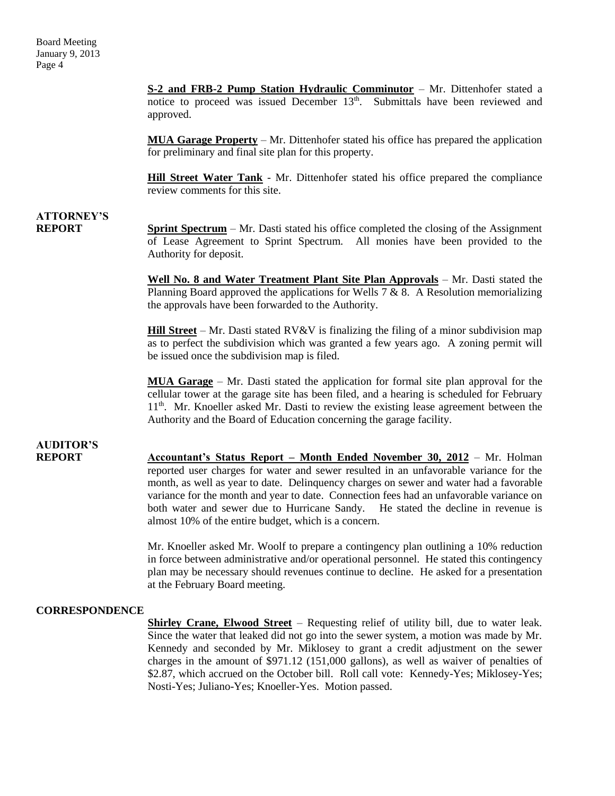**S-2 and FRB-2 Pump Station Hydraulic Comminutor** – Mr. Dittenhofer stated a notice to proceed was issued December  $13<sup>th</sup>$ . Submittals have been reviewed and approved.

**MUA Garage Property** – Mr. Dittenhofer stated his office has prepared the application for preliminary and final site plan for this property.

**Hill Street Water Tank** - Mr. Dittenhofer stated his office prepared the compliance review comments for this site.

## **ATTORNEY'S**

**REPORT Sprint Spectrum** – Mr. Dasti stated his office completed the closing of the Assignment of Lease Agreement to Sprint Spectrum. All monies have been provided to the Authority for deposit.

> **Well No. 8 and Water Treatment Plant Site Plan Approvals** – Mr. Dasti stated the Planning Board approved the applications for Wells  $7 & 8$ . A Resolution memorializing the approvals have been forwarded to the Authority.

> **Hill Street** – Mr. Dasti stated RV&V is finalizing the filing of a minor subdivision map as to perfect the subdivision which was granted a few years ago. A zoning permit will be issued once the subdivision map is filed.

> **MUA Garage** – Mr. Dasti stated the application for formal site plan approval for the cellular tower at the garage site has been filed, and a hearing is scheduled for February 11th. Mr. Knoeller asked Mr. Dasti to review the existing lease agreement between the Authority and the Board of Education concerning the garage facility.

## **AUDITOR'S**

**REPORT Accountant's Status Report – Month Ended November 30, 2012** – Mr. Holman reported user charges for water and sewer resulted in an unfavorable variance for the month, as well as year to date. Delinquency charges on sewer and water had a favorable variance for the month and year to date. Connection fees had an unfavorable variance on both water and sewer due to Hurricane Sandy. He stated the decline in revenue is almost 10% of the entire budget, which is a concern.

> Mr. Knoeller asked Mr. Woolf to prepare a contingency plan outlining a 10% reduction in force between administrative and/or operational personnel. He stated this contingency plan may be necessary should revenues continue to decline. He asked for a presentation at the February Board meeting.

### **CORRESPONDENCE**

**Shirley Crane, Elwood Street** – Requesting relief of utility bill, due to water leak. Since the water that leaked did not go into the sewer system, a motion was made by Mr. Kennedy and seconded by Mr. Miklosey to grant a credit adjustment on the sewer charges in the amount of \$971.12 (151,000 gallons), as well as waiver of penalties of \$2.87, which accrued on the October bill. Roll call vote: Kennedy-Yes; Miklosey-Yes; Nosti-Yes; Juliano-Yes; Knoeller-Yes. Motion passed.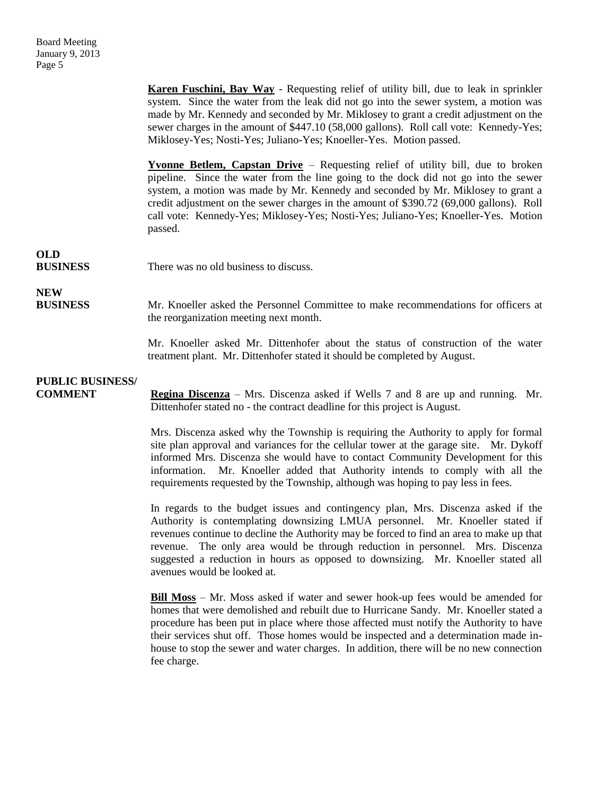**Karen Fuschini, Bay Way** - Requesting relief of utility bill, due to leak in sprinkler system. Since the water from the leak did not go into the sewer system, a motion was made by Mr. Kennedy and seconded by Mr. Miklosey to grant a credit adjustment on the sewer charges in the amount of \$447.10 (58,000 gallons). Roll call vote: Kennedy-Yes; Miklosey-Yes; Nosti-Yes; Juliano-Yes; Knoeller-Yes. Motion passed. **Yvonne Betlem, Capstan Drive** – Requesting relief of utility bill, due to broken pipeline. Since the water from the line going to the dock did not go into the sewer system, a motion was made by Mr. Kennedy and seconded by Mr. Miklosey to grant a credit adjustment on the sewer charges in the amount of \$390.72 (69,000 gallons). Roll call vote: Kennedy-Yes; Miklosey-Yes; Nosti-Yes; Juliano-Yes; Knoeller-Yes. Motion passed. **OLD BUSINESS** There was no old business to discuss. **NEW BUSINESS** Mr. Knoeller asked the Personnel Committee to make recommendations for officers at the reorganization meeting next month. Mr. Knoeller asked Mr. Dittenhofer about the status of construction of the water treatment plant. Mr. Dittenhofer stated it should be completed by August. **PUBLIC BUSINESS/ COMMENT Regina Discenza** – Mrs. Discenza asked if Wells 7 and 8 are up and running. Mr. Dittenhofer stated no - the contract deadline for this project is August. Mrs. Discenza asked why the Township is requiring the Authority to apply for formal site plan approval and variances for the cellular tower at the garage site. Mr. Dykoff informed Mrs. Discenza she would have to contact Community Development for this information. Mr. Knoeller added that Authority intends to comply with all the requirements requested by the Township, although was hoping to pay less in fees. In regards to the budget issues and contingency plan, Mrs. Discenza asked if the Authority is contemplating downsizing LMUA personnel. Mr. Knoeller stated if revenues continue to decline the Authority may be forced to find an area to make up that revenue. The only area would be through reduction in personnel. Mrs. Discenza suggested a reduction in hours as opposed to downsizing. Mr. Knoeller stated all avenues would be looked at.

> **Bill Moss** – Mr. Moss asked if water and sewer hook-up fees would be amended for homes that were demolished and rebuilt due to Hurricane Sandy. Mr. Knoeller stated a procedure has been put in place where those affected must notify the Authority to have their services shut off. Those homes would be inspected and a determination made inhouse to stop the sewer and water charges. In addition, there will be no new connection fee charge.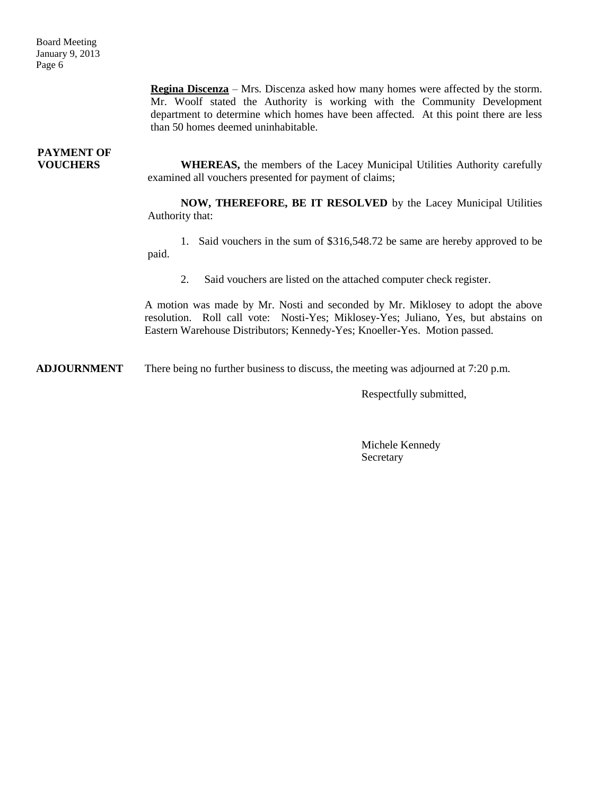**Regina Discenza** – Mrs. Discenza asked how many homes were affected by the storm. Mr. Woolf stated the Authority is working with the Community Development department to determine which homes have been affected. At this point there are less than 50 homes deemed uninhabitable.

# **PAYMENT OF**

**VOUCHERS** WHEREAS, the members of the Lacey Municipal Utilities Authority carefully examined all vouchers presented for payment of claims;

> **NOW, THEREFORE, BE IT RESOLVED** by the Lacey Municipal Utilities Authority that:

> 1. Said vouchers in the sum of \$316,548.72 be same are hereby approved to be paid.

2. Said vouchers are listed on the attached computer check register.

A motion was made by Mr. Nosti and seconded by Mr. Miklosey to adopt the above resolution. Roll call vote: Nosti-Yes; Miklosey-Yes; Juliano, Yes, but abstains on Eastern Warehouse Distributors; Kennedy-Yes; Knoeller-Yes. Motion passed.

**ADJOURNMENT** There being no further business to discuss, the meeting was adjourned at 7:20 p.m.

Respectfully submitted,

Michele Kennedy Secretary